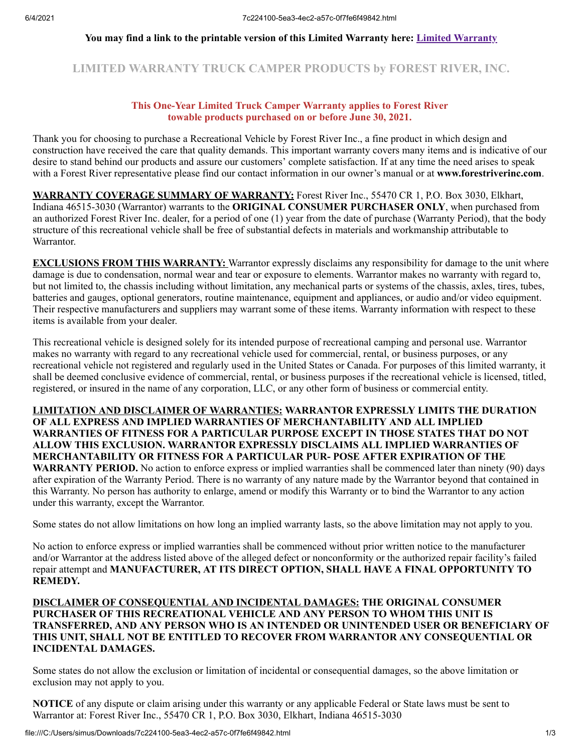#### **You may find a link to the printable version of this Limited Warranty here: [Limited Warranty](https://forestriverinc.com/Owners/Warranty-Information)**

# **LIMITED WARRANTY TRUCK CAMPER PRODUCTS by FOREST RIVER, INC.**

#### **This One-Year Limited Truck Camper Warranty applies to Forest River towable products purchased on or before June 30, 2021.**

Thank you for choosing to purchase a Recreational Vehicle by Forest River Inc., a fine product in which design and construction have received the care that quality demands. This important warranty covers many items and is indicative of our desire to stand behind our products and assure our customers' complete satisfaction. If at any time the need arises to speak with a Forest River representative please find our contact information in our owner's manual or at **www.forestriverinc.com**.

**WARRANTY COVERAGE SUMMARY OF WARRANTY:** Forest River Inc., 55470 CR 1, P.O. Box 3030, Elkhart, Indiana 46515-3030 (Warrantor) warrants to the **ORIGINAL CONSUMER PURCHASER ONLY**, when purchased from an authorized Forest River Inc. dealer, for a period of one (1) year from the date of purchase (Warranty Period), that the body structure of this recreational vehicle shall be free of substantial defects in materials and workmanship attributable to Warrantor.

**EXCLUSIONS FROM THIS WARRANTY:** Warrantor expressly disclaims any responsibility for damage to the unit where damage is due to condensation, normal wear and tear or exposure to elements. Warrantor makes no warranty with regard to, but not limited to, the chassis including without limitation, any mechanical parts or systems of the chassis, axles, tires, tubes, batteries and gauges, optional generators, routine maintenance, equipment and appliances, or audio and/or video equipment. Their respective manufacturers and suppliers may warrant some of these items. Warranty information with respect to these items is available from your dealer.

This recreational vehicle is designed solely for its intended purpose of recreational camping and personal use. Warrantor makes no warranty with regard to any recreational vehicle used for commercial, rental, or business purposes, or any recreational vehicle not registered and regularly used in the United States or Canada. For purposes of this limited warranty, it shall be deemed conclusive evidence of commercial, rental, or business purposes if the recreational vehicle is licensed, titled, registered, or insured in the name of any corporation, LLC, or any other form of business or commercial entity.

**LIMITATION AND DISCLAIMER OF WARRANTIES: WARRANTOR EXPRESSLY LIMITS THE DURATION OF ALL EXPRESS AND IMPLIED WARRANTIES OF MERCHANTABILITY AND ALL IMPLIED WARRANTIES OF FITNESS FOR A PARTICULAR PURPOSE EXCEPT IN THOSE STATES THAT DO NOT ALLOW THIS EXCLUSION. WARRANTOR EXPRESSLY DISCLAIMS ALL IMPLIED WARRANTIES OF MERCHANTABILITY OR FITNESS FOR A PARTICULAR PUR- POSE AFTER EXPIRATION OF THE WARRANTY PERIOD.** No action to enforce express or implied warranties shall be commenced later than ninety (90) days after expiration of the Warranty Period. There is no warranty of any nature made by the Warrantor beyond that contained in this Warranty. No person has authority to enlarge, amend or modify this Warranty or to bind the Warrantor to any action under this warranty, except the Warrantor.

Some states do not allow limitations on how long an implied warranty lasts, so the above limitation may not apply to you.

No action to enforce express or implied warranties shall be commenced without prior written notice to the manufacturer and/or Warrantor at the address listed above of the alleged defect or nonconformity or the authorized repair facility's failed repair attempt and **MANUFACTURER, AT ITS DIRECT OPTION, SHALL HAVE A FINAL OPPORTUNITY TO REMEDY.**

### **DISCLAIMER OF CONSEQUENTIAL AND INCIDENTAL DAMAGES: THE ORIGINAL CONSUMER PURCHASER OF THIS RECREATIONAL VEHICLE AND ANY PERSON TO WHOM THIS UNIT IS TRANSFERRED, AND ANY PERSON WHO IS AN INTENDED OR UNINTENDED USER OR BENEFICIARY OF THIS UNIT, SHALL NOT BE ENTITLED TO RECOVER FROM WARRANTOR ANY CONSEQUENTIAL OR INCIDENTAL DAMAGES.**

Some states do not allow the exclusion or limitation of incidental or consequential damages, so the above limitation or exclusion may not apply to you.

**NOTICE** of any dispute or claim arising under this warranty or any applicable Federal or State laws must be sent to Warrantor at: Forest River Inc., 55470 CR 1, P.O. Box 3030, Elkhart, Indiana 46515-3030